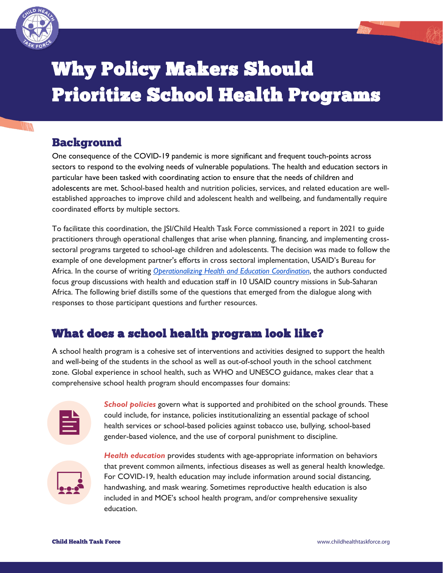

# Why Policy Makers Should Prioritize School Health Programs

## Background

One consequence of the COVID-19 pandemic is more significant and frequent touch-points across sectors to respond to the evolving needs of vulnerable populations. The health and education sectors in particular have been tasked with coordinating action to ensure that the needs of children and adolescents are met. School-based health and nutrition policies, services, and related education are wellestablished approaches to improve child and adolescent health and wellbeing, and fundamentally require coordinated efforts by multiple sectors.

To facilitate this coordination, the JSI/Child Health Task Force commissioned a report in 2021 to guide practitioners through operational challenges that arise when planning, financing, and implementing crosssectoral programs targeted to school-age children and adolescents. The decision was made to follow the example of one development partner's efforts in cross sectoral implementation, USAID's Bureau for Africa. In the course of writing *[Operationalizing Health and Education Coordination](https://www.childhealthtaskforce.org/resources/report/2021/report-operationalizing-health-education-coordination)*, the authors conducted focus group discussions with health and education staff in 10 USAID country missions in Sub-Saharan Africa. The following brief distills some of the questions that emerged from the dialogue along with responses to those participant questions and further resources.

## What does a school health program look like?

A school health program is a cohesive set of interventions and activities designed to support the health and well-being of the students in the school as well as out-of-school youth in the school catchment zone. Global experience in school health, such as WHO and UNESCO guidance, makes clear that a comprehensive school health program should encompasses four domains:



*School policies* govern what is supported and prohibited on the school grounds. These could include, for instance, policies institutionalizing an essential package of school health services or school-based policies against tobacco use, bullying, school-based gender-based violence, and the use of corporal punishment to discipline.



*Health education* provides students with age-appropriate information on behaviors that prevent common ailments, infectious diseases as well as general health knowledge. For COVID-19, health education may include information around social distancing, handwashing, and mask wearing. Sometimes reproductive health education is also included in and MOE's school health program, and/or comprehensive sexuality education.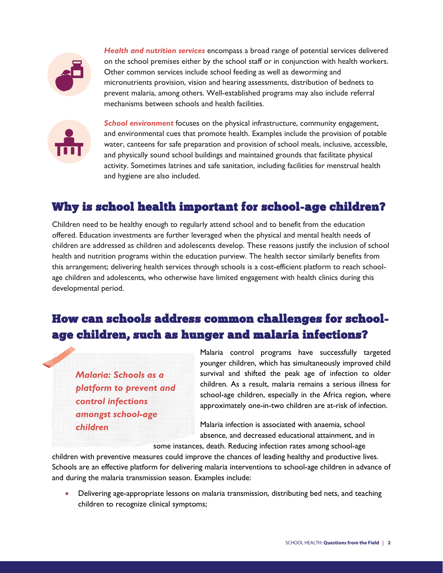

*Health and nutrition services* encompass a broad range of potential services delivered on the school premises either by the school staff or in conjunction with health workers. Other common services include school feeding as well as deworming and micronutrients provision, vision and hearing assessments, distribution of bednets to prevent malaria, among others. Well-established programs may also include referral mechanisms between schools and health facilities.



*School environment* focuses on the physical infrastructure, community engagement, and environmental cues that promote health. Examples include the provision of potable water, canteens for safe preparation and provision of school meals, inclusive, accessible, and physically sound school buildings and maintained grounds that facilitate physical activity. Sometimes latrines and safe sanitation, including facilities for menstrual health and hygiene are also included.

## Why is school health important for school-age children?

Children need to be healthy enough to regularly attend school and to benefit from the education offered. Education investments are further leveraged when the physical and mental health needs of children are addressed as children and adolescents develop. These reasons justify the inclusion of school health and nutrition programs within the education purview. The health sector similarly benefits from this arrangement; delivering health services through schools is a cost-efficient platform to reach schoolage children and adolescents, who otherwise have limited engagement with health clinics during this developmental period.

# How can schools address common challenges for schoolage children, such as hunger and malaria infections?

*Malaria: Schools as a platform to prevent and control infections amongst school-age children*

Malaria control programs have successfully targeted younger children, which has simultaneously improved child survival and shifted the peak age of infection to older children. As a result, malaria remains a serious illness for school-age children, especially in the Africa region, where approximately one-in-two children are at-risk of infection.

Malaria infection is associated with anaemia, school absence, and decreased educational attainment, and in

some instances, death. Reducing infection rates among school-age

children with preventive measures could improve the chances of leading healthy and productive lives. Schools are an effective platform for delivering malaria interventions to school-age children in advance of and during the malaria transmission season. Examples include:

• Delivering age-appropriate lessons on malaria transmission, distributing bed nets, and teaching children to recognize clinical symptoms;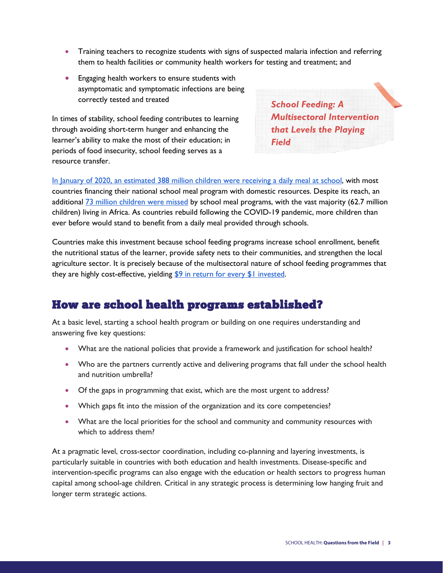- Training teachers to recognize students with signs of suspected malaria infection and referring them to health facilities or community health workers for testing and treatment; and
- Engaging health workers to ensure students with asymptomatic and symptomatic infections are being correctly tested and treated

In times of stability, school feeding contributes to learning through avoiding short-term hunger and enhancing the learner's ability to make the most of their education; in periods of food insecurity, school feeding serves as a resource transfer.

*School Feeding: A Multisectoral Intervention that Levels the Playing Field*

[In January of 2020, an estimated 388 million children were receiving a daily meal at school,](https://www.wfp.org/publications/state-school-feeding-worldwide-2020) with most countries financing their national school meal program with domestic resources. Despite its reach, an additional [73 million children were missed](https://www.frontiersin.org/articles/10.3389/fpubh.2020.530176/full) by school meal programs, with the vast majority (62.7 million children) living in Africa. As countries rebuild following the COVID-19 pandemic, more children than ever before would stand to benefit from a daily meal provided through schools.

Countries make this investment because school feeding programs increase school enrollment, benefit the nutritional status of the learner, provide safety nets to their communities, and strengthen the local agriculture sector. It is precisely because of the multisectoral nature of school feeding programmes that they are highly cost-effective, yielding \$9 in return for every \$1 invested.

#### How are school health programs established?

At a basic level, starting a school health program or building on one requires understanding and answering five key questions:

- What are the national policies that provide a framework and justification for school health?
- Who are the partners currently active and delivering programs that fall under the school health and nutrition umbrella?
- Of the gaps in programming that exist, which are the most urgent to address?
- Which gaps fit into the mission of the organization and its core competencies?
- What are the local priorities for the school and community and community resources with which to address them?

At a pragmatic level, cross-sector coordination, including co-planning and layering investments, is particularly suitable in countries with both education and health investments. Disease-specific and intervention-specific programs can also engage with the education or health sectors to progress human capital among school-age children. Critical in any strategic process is determining low hanging fruit and longer term strategic actions.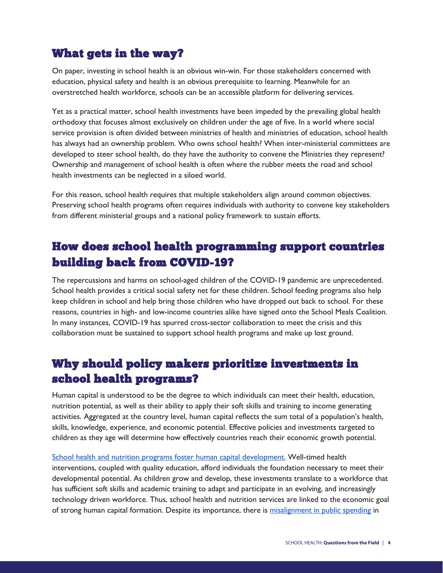### What gets in the way?

On paper, investing in school health is an obvious win-win. For those stakeholders concerned with education, physical safety and health is an obvious prerequisite to learning. Meanwhile for an overstretched health workforce, schools can be an accessible platform for delivering services.

Yet as a practical matter, school health investments have been impeded by the prevailing global health orthodoxy that focuses almost exclusively on children under the age of five. In a world where social service provision is often divided between ministries of health and ministries of education, school health has always had an ownership problem. Who owns school health? When inter-ministerial committees are developed to steer school health, do they have the authority to convene the Ministries they represent? Ownership and management of school health is often where the rubber meets the road and school health investments can be neglected in a siloed world.

For this reason, school health requires that multiple stakeholders align around common objectives. Preserving school health programs often requires individuals with authority to convene key stakeholders from different ministerial groups and a national policy framework to sustain efforts.

# How does school health programming support countries building back from COVID-19?

The repercussions and harms on school-aged children of the COVID-19 pandemic are unprecedented. School health provides a critical social safety net for these children. School feeding programs also help keep children in school and help bring those children who have dropped out back to school. For these reasons, countries in high- and low-income countries alike have signed onto the School Meals Coalition. In many instances, COVID-19 has spurred cross-sector collaboration to meet the crisis and this collaboration must be sustained to support school health programs and make up lost ground.

# Why should policy makers prioritize investments in school health programs?

Human capital is understood to be the degree to which individuals can meet their health, education, nutrition potential, as well as their ability to apply their soft skills and training to income generating activities. Aggregated at the country level, human capital reflects the sum total of a population's health, skills, knowledge, experience, and economic potential. Effective policies and investments targeted to children as they age will determine how effectively countries reach their economic growth potential.

[School health and nutrition programs foster human capital development.](https://www.hfgproject.org/maximizing-human-capital-by-aligning-investments-in-health-and-education/) Well-timed health interventions, coupled with quality education, afford individuals the foundation necessary to meet their developmental potential. As children grow and develop, these investments translate to a workforce that has sufficient soft skills and academic training to adapt and participate in an evolving, and increasingly technology driven workforce. Thus, school health and nutrition services are linked to the economic goal of strong human capital formation. Despite its importance, there is [misalignment in public spending](http://dcp-3.org/sites/default/files/chapters/DCP3%20CAHD_Ch%201.pdf) in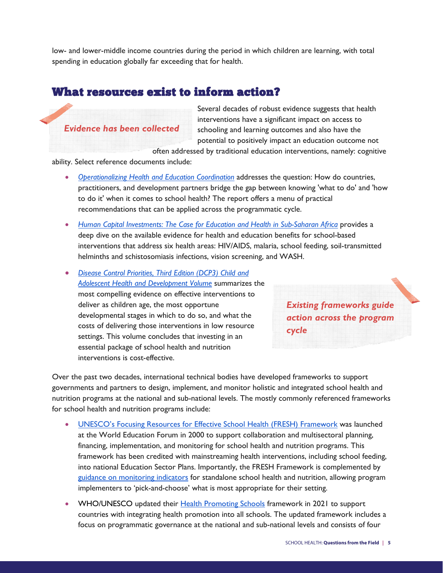low- and lower-middle income countries during the period in which children are learning, with total spending in education globally far exceeding that for health.

#### What resources exist to inform action?

*Evidence has been collected*

Several decades of robust evidence suggests that health interventions have a significant impact on access to schooling and learning outcomes and also have the potential to positively impact an education outcome not

often addressed by traditional education interventions, namely: cognitive

ability. Select reference documents include:

- *[Operationalizing Health and Education Coordination](https://www.childhealthtaskforce.org/resources/report/2021/report-operationalizing-health-education-coordination)* addresses the question: How do countries, practitioners, and development partners bridge the gap between knowing 'what to do' and 'how to do it' when it comes to school health? The report offers a menu of practical recommendations that can be applied across the programmatic cycle.
- [Human Capital Investments: The Case for Education and Health in Sub-Saharan Africa](https://dec.usaid.gov/dec/content/Detail_Presto.aspx?ctID=ODVhZjk4NWQtM2YyMi00YjRmLTkxNjktZTcxMjM2NDBmY2Uy&rID=NTYxNzc4&qrs=RmFsc2U%3d&q=KERvY3VtZW50cy5QZXJzb25hbF9BdXRob3I6KExpbmRhIFNjaHVsdHopKSBBTkQgKERvY3VtZW50cy5EYXRlX29mX1B1YmxpY2F0aW9uX0ZyZWVmb3JybTooMjAyMCkp&qcf=ODVhZjk4NWQtM2YyMi00YjRmLTkxNjktZTcxMjM2NDBmY2Uy&ph=VHJ1ZQ%3d%3d&bckToL=VHJ1ZQ%3d%3d&rrtc=VHJ1ZQ%3d%3d) provides a deep dive on the available evidence for health and education benefits for school-based interventions that address six health areas: HIV/AIDS, malaria, school feeding, soil-transmitted helminths and schistosomiasis infections, vision screening, and WASH.
- *[Disease Control Priorities, Third Edition \(DCP3\) Child and](http://dcp-3.org/CAHD)  [Adolescent Health and Development Volume](http://dcp-3.org/CAHD)* summarizes the most compelling evidence on effective interventions to deliver as children age, the most opportune developmental stages in which to do so, and what the costs of delivering those interventions in low resource settings. This volume concludes that investing in an essential package of school health and nutrition interventions is cost-effective.

*Existing frameworks guide action across the program cycle*

Over the past two decades, international technical bodies have developed frameworks to support governments and partners to design, implement, and monitor holistic and integrated school health and nutrition programs at the national and sub-national levels. The mostly commonly referenced frameworks for school health and nutrition programs include:

- [UNESCO's Focusing Resources for Effective](https://www.fresh-partners.org/fresh-framework.html) School Health (FRESH) Framework was launched at the World Education Forum in 2000 to support collaboration and multisectoral planning, financing, implementation, and monitoring for school health and nutrition programs. This framework has been credited with mainstreaming health interventions, including school feeding, into national Education Sector Plans. Importantly, the FRESH Framework is complemented by [guidance on monitoring indicators](https://www.savethechildren.org/content/dam/global/reports/education-and-child-protection/fresh-thematic-indicators.pdf) for standalone school health and nutrition, allowing program implementers to 'pick-and-choose' what is most appropriate for their setting.
- WHO/UNESCO updated their [Health Promoting Schools](https://www.who.int/health-topics/health-promoting-schools#tab=tab_1) framework in 2021 to support countries with integrating health promotion into all schools. The updated framework includes a focus on programmatic governance at the national and sub-national levels and consists of four